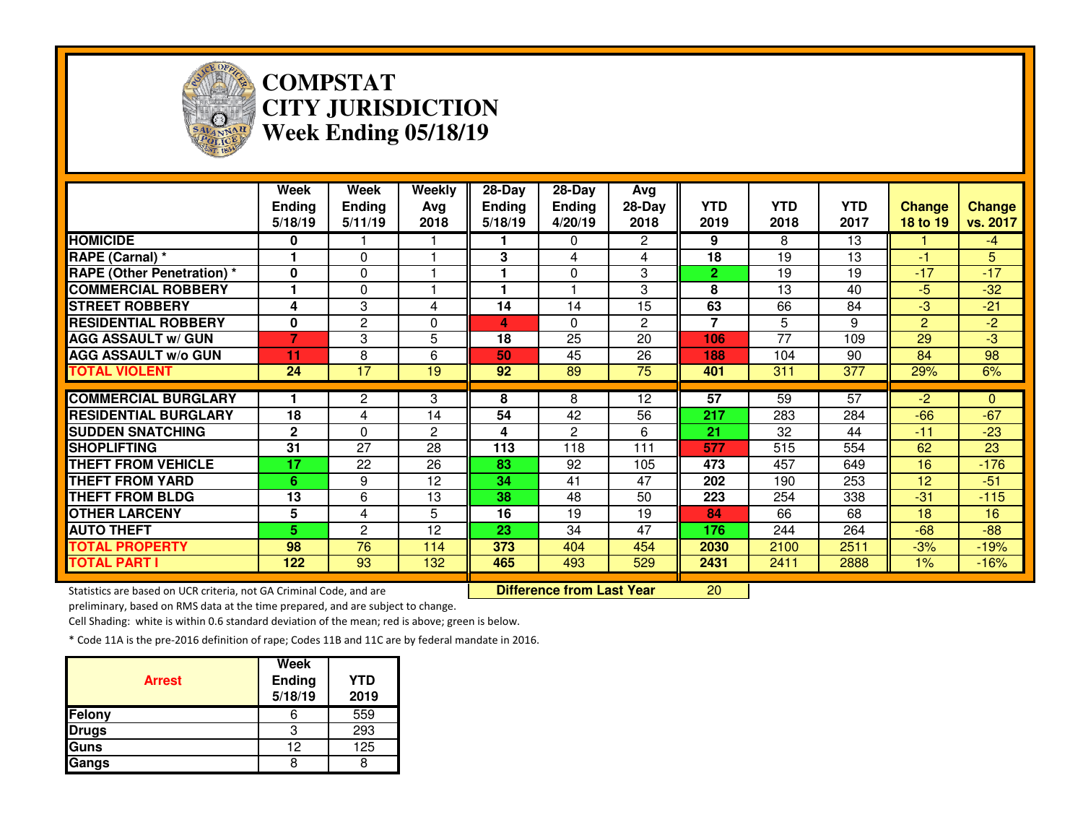

## **COMPSTAT CITY JURISDICTIONWeek Ending 05/18/19**

|                                                                     | Week<br><b>Ending</b><br>5/18/19 | <b>Week</b><br><b>Ending</b><br>5/11/19 | Weekly<br>Avg<br>2018 | $28 - Day$<br><b>Ending</b><br>5/18/19 | $28 - Day$<br><b>Ending</b><br>4/20/19 | Avg<br>$28-Day$<br>2018 | <b>YTD</b><br>2019       | <b>YTD</b><br>2018 | <b>YTD</b><br>2017 | <b>Change</b><br>18 to 19 | Change<br>vs. 2017 |
|---------------------------------------------------------------------|----------------------------------|-----------------------------------------|-----------------------|----------------------------------------|----------------------------------------|-------------------------|--------------------------|--------------------|--------------------|---------------------------|--------------------|
| <b>HOMICIDE</b>                                                     | 0                                |                                         |                       |                                        | $\Omega$                               | $\overline{2}$          | 9                        | 8                  | 13                 |                           | $-4$               |
| RAPE (Carnal) *                                                     |                                  | $\Omega$                                | 1                     | 3                                      | 4                                      | 4                       | 18                       | 19                 | 13                 | $-1$                      | 5 <sup>5</sup>     |
| <b>RAPE (Other Penetration) *</b>                                   | $\bf{0}$                         | 0                                       |                       |                                        | $\Omega$                               | 3                       | $\mathbf{2}$             | 19                 | 19                 | $-17$                     | $-17$              |
| <b>COMMERCIAL ROBBERY</b>                                           |                                  | 0                                       |                       |                                        |                                        | 3                       | 8                        | 13                 | 40                 | $-5$                      | $-32$              |
| <b>STREET ROBBERY</b>                                               | 4                                | 3                                       | 4                     | 14                                     | 14                                     | 15                      | 63                       | 66                 | 84                 | -3                        | $-21$              |
| <b>RESIDENTIAL ROBBERY</b>                                          | $\bf{0}$                         | $\mathbf{2}$                            | $\Omega$              | 4                                      | $\Omega$                               | $\mathbf{2}$            | $\overline{\phantom{a}}$ | 5                  | 9                  | 2                         | $-2$               |
| <b>AGG ASSAULT w/ GUN</b>                                           | $\overline{7}$                   | 3                                       | 5                     | 18                                     | 25                                     | 20                      | 106                      | $\overline{77}$    | 109                | 29                        | $-3$               |
| <b>AGG ASSAULT w/o GUN</b>                                          | 11                               | 8                                       | 6                     | 50                                     | 45                                     | 26                      | 188                      | 104                | 90                 | 84                        | 98                 |
| <b>TOTAL VIOLENT</b>                                                | $\overline{24}$                  | $\overline{17}$                         | $\overline{19}$       | 92                                     | 89                                     | 75                      | 401                      | 311                | 377                | 29%                       | 6%                 |
| <b>COMMERCIAL BURGLARY</b>                                          |                                  |                                         |                       |                                        |                                        |                         | $\overline{57}$          | $\overline{59}$    | $\overline{57}$    |                           |                    |
|                                                                     |                                  | $\overline{2}$                          | 3                     | 8                                      | 8                                      | 12                      |                          |                    |                    | $-2$                      | $\mathbf{0}$       |
| <b>RESIDENTIAL BURGLARY</b>                                         | 18                               | 4                                       | 14                    | 54                                     | 42                                     | 56                      | 217                      | 283                | 284                | $-66$                     | $-67$              |
| <b>SUDDEN SNATCHING</b>                                             | $\mathbf{2}$                     | $\Omega$                                | 2                     | 4                                      | $\overline{c}$                         | 6                       | 21                       | 32                 | 44                 | $-11$                     | $-23$              |
| <b>SHOPLIFTING</b>                                                  | 31                               | 27                                      | 28                    | 113                                    | 118                                    | 111                     | 577                      | 515                | 554                | 62                        | 23                 |
| <b>THEFT FROM VEHICLE</b>                                           | 17                               | 22                                      | 26                    | 83                                     | 92                                     | 105                     | 473                      | 457                | 649                | 16                        | $-176$             |
| <b>THEFT FROM YARD</b>                                              | 6                                | 9                                       | 12                    | 34                                     | 41                                     | 47                      | 202                      | 190                | 253                | 12                        | $-51$              |
| <b>THEFT FROM BLDG</b>                                              | 13                               | 6                                       | 13                    | 38                                     | 48                                     | 50                      | 223                      | 254                | 338                | $-31$                     | $-115$             |
| <b>OTHER LARCENY</b>                                                | 5                                | 4                                       | 5                     | 16                                     | 19                                     | 19                      | 84                       | 66                 | 68                 | 18                        | 16                 |
| <b>AUTO THEFT</b>                                                   | 5.                               | $\mathbf{2}$                            | 12                    | 23                                     | 34                                     | 47                      | 176                      | 244                | 264                | $-68$                     | $-88$              |
| <b>TOTAL PROPERTY</b>                                               | 98                               | 76                                      | 114                   | 373                                    | 404                                    | 454                     | 2030                     | 2100               | 2511               | $-3%$                     | $-19%$             |
| <b>TOTAL PART I</b>                                                 | 122                              | 93                                      | 132                   | 465                                    | 493                                    | 529                     | 2431                     | 2411               | 2888               | 1%                        | $-16%$             |
| Statistics are based on UCR criteria, not GA Criminal Code, and are |                                  |                                         |                       |                                        | <b>Difference from Last Year</b>       |                         | 20                       |                    |                    |                           |                    |

Statistics are based on UCR criteria, not GA Criminal Code, and are **Difference from Last Year** 

preliminary, based on RMS data at the time prepared, and are subject to change.

Cell Shading: white is within 0.6 standard deviation of the mean; red is above; green is below.

| <b>Arrest</b> | Week<br>Ending<br>5/18/19 | YTD<br>2019 |
|---------------|---------------------------|-------------|
| <b>Felony</b> |                           | 559         |
| <b>Drugs</b>  | 3                         | 293         |
| <b>Guns</b>   | 12                        | 125         |
| Gangs         |                           |             |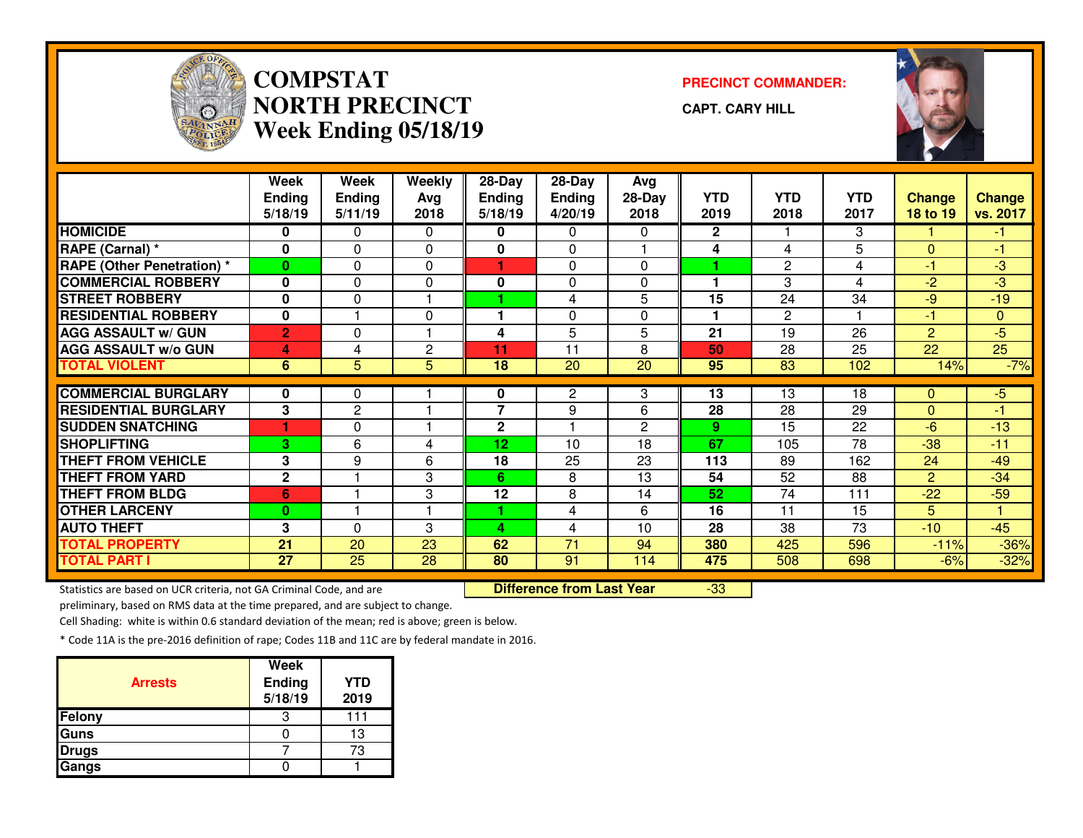

## **COMPSTATNORTH PRECINCTWeek Ending 05/18/19**

**PRECINCT COMMANDER:**

**CAPT. CARY HILL**

-33



|                                   | Week           | Week            | Weekly       | 28-Day          | 28-Day          | Avg             |              |                 |                 |                 |                 |
|-----------------------------------|----------------|-----------------|--------------|-----------------|-----------------|-----------------|--------------|-----------------|-----------------|-----------------|-----------------|
|                                   | <b>Ending</b>  | <b>Ending</b>   | Avg          | <b>Ending</b>   | <b>Ending</b>   | 28-Day          | YTD          | <b>YTD</b>      | <b>YTD</b>      | <b>Change</b>   | <b>Change</b>   |
|                                   | 5/18/19        | 5/11/19         | 2018         | 5/18/19         | 4/20/19         | 2018            | 2019         | 2018            | 2017            | <b>18 to 19</b> | vs. 2017        |
| <b>HOMICIDE</b>                   | 0              | 0               | 0            | 0               | 0               | 0               | $\mathbf{2}$ |                 | 3               |                 | -1.             |
| RAPE (Carnal) *                   | $\mathbf{0}$   | $\Omega$        | $\mathbf{0}$ | 0               | 0               |                 | 4            | 4               | 5               | $\Omega$        | -1              |
| <b>RAPE (Other Penetration) *</b> | $\bf{0}$       | $\Omega$        | $\Omega$     |                 | $\Omega$        | 0               |              | $\mathbf{2}$    | 4               | -1              | -3              |
| <b>COMMERCIAL ROBBERY</b>         | $\mathbf{0}$   | 0               | $\mathbf{0}$ | 0               | $\Omega$        | 0               |              | 3               | 4               | $-2$            | $-3$            |
| <b>STREET ROBBERY</b>             | $\mathbf{0}$   | 0               |              |                 | 4               | 5               | 15           | 24              | 34              | $-9$            | $-19$           |
| <b>RESIDENTIAL ROBBERY</b>        | $\mathbf 0$    |                 | $\Omega$     | 1               | $\Omega$        | 0               |              | $\overline{2}$  |                 | $-1$            | $\mathbf{0}$    |
| <b>AGG ASSAULT w/ GUN</b>         | $\overline{2}$ | $\Omega$        | 1            | 4               | 5               | 5               | 21           | 19              | 26              | $\overline{2}$  | $-5$            |
| <b>AGG ASSAULT w/o GUN</b>        | 4              | 4               | $\mathbf{2}$ | 11              | 11              | 8               | 50           | $\overline{28}$ | $\overline{25}$ | $\overline{22}$ | $\overline{25}$ |
| <b>TOTAL VIOLENT</b>              | 6              | 5               | 5            | 18              | $\overline{20}$ | $\overline{20}$ | 95           | $\overline{83}$ | 102             | 14%             | $-7%$           |
|                                   |                |                 |              |                 |                 |                 |              |                 |                 |                 |                 |
| <b>COMMERCIAL BURGLARY</b>        | 0              | 0               |              | 0               | 2               | 3               | 13           | 13              | 18              | $\mathbf{0}$    | -5              |
| <b>RESIDENTIAL BURGLARY</b>       | $\overline{3}$ | $\overline{c}$  |              | $\overline{7}$  | 9               | 6               | 28           | 28              | 29              | $\Omega$        | $-1$            |
| <b>SUDDEN SNATCHING</b>           |                | 0               |              | $\mathbf{2}$    |                 | 2               | 9            | 15              | 22              | -6              | $-13$           |
| <b>SHOPLIFTING</b>                | 3              | 6               | 4            | 12 <sub>2</sub> | 10              | 18              | 67           | 105             | 78              | $-38$           | $-11$           |
| <b>THEFT FROM VEHICLE</b>         | 3              | 9               | 6            | 18              | 25              | 23              | 113          | 89              | 162             | 24              | $-49$           |
| <b>THEFT FROM YARD</b>            | $\mathbf{2}$   |                 | 3            | 6               | 8               | 13              | 54           | 52              | 88              | $\overline{2}$  | $-34$           |
| <b>THEFT FROM BLDG</b>            | 6              |                 | 3            | 12              | 8               | 14              | 52           | 74              | 111             | $-22$           | $-59$           |
| <b>OTHER LARCENY</b>              | $\bf{0}$       |                 |              |                 | 4               | 6               | 16           | 11              | 15              | 5.              | 1.              |
| <b>AUTO THEFT</b>                 | 3              | $\Omega$        | 3            | 4               | 4               | 10              | 28           | 38              | 73              | $-10$           | $-45$           |
| <b>TOTAL PROPERTY</b>             | 21             | 20              | 23           | 62              | $\overline{71}$ | 94              | 380          | 425             | 596             | $-11%$          | $-36%$          |
| <b>TOTAL PART I</b>               | 27             | $\overline{25}$ | 28           | 80              | 91              | 114             | 475          | 508             | 698             | $-6%$           | $-32%$          |

Statistics are based on UCR criteria, not GA Criminal Code, and are **Difference from Last Year** 

preliminary, based on RMS data at the time prepared, and are subject to change.

Cell Shading: white is within 0.6 standard deviation of the mean; red is above; green is below.

| <b>Arrests</b> | <b>Week</b><br><b>Ending</b><br>5/18/19 | <b>YTD</b><br>2019 |
|----------------|-----------------------------------------|--------------------|
| Felony         | З                                       | 111                |
| Guns           |                                         | 13                 |
| <b>Drugs</b>   |                                         | 73                 |
| Gangs          |                                         |                    |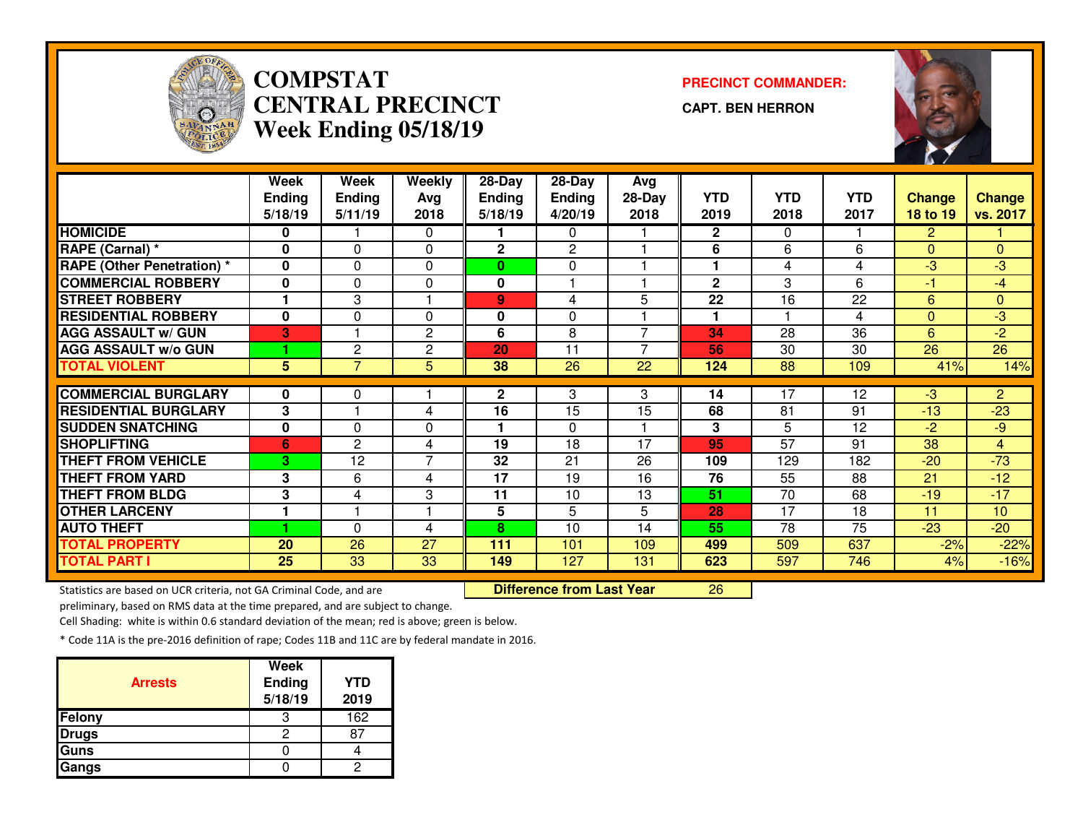

# **COMPSTAT PRECINCT COMMANDER: CENTRAL PRECINCTWeek Ending 05/18/19**

**CAPT. BEN HERRON**

<sup>26</sup>



|                                   | <b>Week</b>    | <b>Week</b>    | <b>Weekly</b>  | 28-Day        | 28-Day         | Avg            |              |            |            |                |                 |
|-----------------------------------|----------------|----------------|----------------|---------------|----------------|----------------|--------------|------------|------------|----------------|-----------------|
|                                   | <b>Ending</b>  | <b>Ending</b>  | Avg            | <b>Ending</b> | <b>Ending</b>  | 28-Day         | <b>YTD</b>   | <b>YTD</b> | <b>YTD</b> | <b>Change</b>  | <b>Change</b>   |
|                                   | 5/18/19        | 5/11/19        | 2018           | 5/18/19       | 4/20/19        | 2018           | 2019         | 2018       | 2017       | 18 to 19       | vs. 2017        |
| <b>HOMICIDE</b>                   | 0              |                | $\Omega$       |               | $\Omega$       |                | $\mathbf{2}$ | $\Omega$   |            | $\overline{2}$ |                 |
| RAPE (Carnal) *                   | $\mathbf{0}$   | $\Omega$       | 0              | $\mathbf 2$   | $\overline{c}$ |                | 6            | 6          | 6          | $\Omega$       | $\overline{0}$  |
| <b>RAPE (Other Penetration)</b> * | $\mathbf{0}$   | 0              | $\Omega$       | $\mathbf{0}$  | $\Omega$       |                |              | 4          | 4          | $-3$           | $-3$            |
| <b>COMMERCIAL ROBBERY</b>         | $\bf{0}$       | $\Omega$       | $\Omega$       | 0             |                |                | $\mathbf{2}$ | 3          | 6          | -1             | $-4$            |
| <b>STREET ROBBERY</b>             |                | 3              |                | $\mathbf{9}$  | 4              | 5.             | 22           | 16         | 22         | 6              | 0               |
| <b>RESIDENTIAL ROBBERY</b>        | $\bf{0}$       | $\Omega$       | $\Omega$       | 0             | $\Omega$       |                | 1            |            | 4          | $\Omega$       | $-3$            |
| <b>AGG ASSAULT w/ GUN</b>         | 3              |                | $\overline{2}$ | 6             | 8              | $\overline{ }$ | 34           | 28         | 36         | 6              | $-2$            |
| <b>AGG ASSAULT w/o GUN</b>        |                | 2              | $\overline{c}$ | 20            | 11             | $\overline{ }$ | 56           | 30         | 30         | 26             | 26              |
| <b>TOTAL VIOLENT</b>              | $5\phantom{1}$ | $\overline{7}$ | 5              | 38            | 26             | 22             | 124          | 88         | 109        | 41%            | 14%             |
|                                   |                |                |                |               |                |                |              |            |            |                |                 |
| <b>COMMERCIAL BURGLARY</b>        | $\bf{0}$       | 0              |                | 2             | 3              | 3              | 14           | 17         | 12         | $-3$           | $\overline{2}$  |
| <b>RESIDENTIAL BURGLARY</b>       | 3              |                | 4              | 16            | 15             | 15             | 68           | 81         | 91         | $-13$          | $-23$           |
| <b>SUDDEN SNATCHING</b>           | $\bf{0}$       | $\Omega$       | 0              |               | $\Omega$       |                | 3            | 5          | 12         | $-2$           | $-9$            |
| <b>SHOPLIFTING</b>                | 6              | 2              | 4              | 19            | 18             | 17             | 95           | 57         | 91         | 38             | $\overline{4}$  |
| <b>THEFT FROM VEHICLE</b>         | 3              | 12             | $\overline{7}$ | 32            | 21             | 26             | 109          | 129        | 182        | $-20$          | $-73$           |
| <b>THEFT FROM YARD</b>            | 3              | 6              | 4              | 17            | 19             | 16             | 76           | 55         | 88         | 21             | $-12$           |
| <b>THEFT FROM BLDG</b>            | 3              | 4              | 3              | 11            | 10             | 13             | 51           | 70         | 68         | $-19$          | $-17$           |
| <b>OTHER LARCENY</b>              | 1              |                | н              | 5             | 5              | 5              | 28           | 17         | 18         | 11             | 10 <sup>1</sup> |
| <b>AUTO THEFT</b>                 |                | 0              | 4              | 8             | 10             | 14             | 55           | 78         | 75         | $-23$          | $-20$           |
| <b>TOTAL PROPERTY</b>             | 20             | 26             | 27             | 111           | 101            | 109            | 499          | 509        | 637        | $-2%$          | $-22%$          |
| <b>TOTAL PART I</b>               | 25             | 33             | 33             | 149           | 127            | 131            | 623          | 597        | 746        | 4%             | $-16%$          |

Statistics are based on UCR criteria, not GA Criminal Code, and are **Difference from Last Year** 

preliminary, based on RMS data at the time prepared, and are subject to change.

Cell Shading: white is within 0.6 standard deviation of the mean; red is above; green is below.

| <b>Arrests</b> | <b>Week</b><br>Ending<br>5/18/19 | <b>YTD</b><br>2019 |
|----------------|----------------------------------|--------------------|
| Felony         | З                                | 162                |
| <b>Drugs</b>   | ◠                                |                    |
| Guns           |                                  |                    |
| Gangs          |                                  |                    |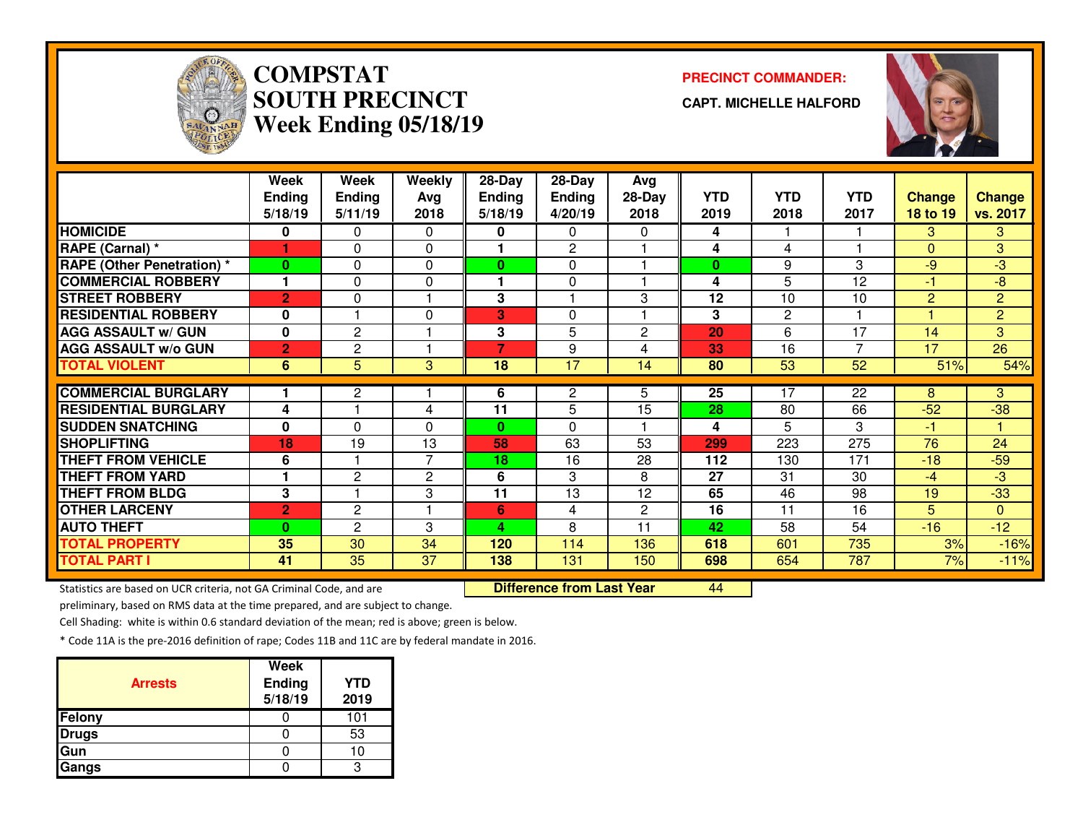

# **COMPSTATSOUTH PRECINCTWeek Ending 05/18/19**

### **PRECINCT COMMANDER:**

**CAPT. MICHELLE HALFORD**



|                                   | Week           | Week           | Weekly         | 28-Day         | 28-Day          | Avg            |            |                 |                 |                |                |
|-----------------------------------|----------------|----------------|----------------|----------------|-----------------|----------------|------------|-----------------|-----------------|----------------|----------------|
|                                   | <b>Ending</b>  | <b>Ending</b>  | Avg            | <b>Ending</b>  | <b>Ending</b>   | $28-Day$       | <b>YTD</b> | <b>YTD</b>      | <b>YTD</b>      | <b>Change</b>  | <b>Change</b>  |
|                                   | 5/18/19        | 5/11/19        | 2018           | 5/18/19        | 4/20/19         | 2018           | 2019       | 2018            | 2017            | 18 to 19       | vs. 2017       |
| <b>HOMICIDE</b>                   | 0              | 0              | 0              | 0              | 0               | 0              | 4          |                 |                 | 3              | 3              |
| RAPE (Carnal) *                   | 1              | $\Omega$       | 0              |                | 2               |                | 4          | 4               |                 | $\Omega$       | 3              |
| <b>RAPE (Other Penetration) *</b> | $\bf{0}$       | 0              | 0              | 0              | 0               |                | $\bf{0}$   | 9               | 3               | $-9$           | $-3$           |
| <b>COMMERCIAL ROBBERY</b>         | 1              | 0              | 0              |                | $\mathbf 0$     |                | 4          | 5               | 12              | $-1$           | $-8$           |
| <b>STREET ROBBERY</b>             | $\overline{2}$ | 0              | 1              | 3              |                 | 3              | 12         | 10              | 10              | $\overline{2}$ | $\overline{2}$ |
| <b>RESIDENTIAL ROBBERY</b>        | $\mathbf{0}$   |                | 0              | 3              | $\Omega$        |                | 3          | $\overline{c}$  |                 |                | $\overline{2}$ |
| <b>AGG ASSAULT w/ GUN</b>         | $\mathbf 0$    | $\overline{c}$ |                | 3              | 5               | $\overline{c}$ | 20         | 6               | 17              | 14             | 3              |
| <b>AGG ASSAULT w/o GUN</b>        | $\overline{2}$ | 2              | 1              | $\overline{7}$ | 9               | 4              | 33         | 16              | $\overline{7}$  | 17             | 26             |
| <b>TOTAL VIOLENT</b>              | 6              | 5              | 3              | 18             | $\overline{17}$ | 14             | 80         | $\overline{53}$ | $\overline{52}$ | 51%            | 54%            |
|                                   |                |                |                |                |                 |                |            |                 |                 |                |                |
| <b>COMMERCIAL BURGLARY</b>        |                | $\mathbf{2}$   |                | 6              | 2               | 5.             | 25         | 17              | 22              | 8              | 3              |
| <b>RESIDENTIAL BURGLARY</b>       | 4              |                | 4              | 11             | 5               | 15             | 28         | 80              | 66              | $-52$          | $-38$          |
| <b>SUDDEN SNATCHING</b>           | $\bf{0}$       | $\Omega$       | 0              | $\bf{0}$       | 0               |                | 4          | 5               | 3               | $-1$           |                |
| <b>SHOPLIFTING</b>                | 18             | 19             | 13             | 58             | 63              | 53             | 299        | 223             | 275             | 76             | 24             |
| <b>THEFT FROM VEHICLE</b>         | 6              |                | $\overline{7}$ | 18             | 16              | 28             | 112        | 130             | 171             | $-18$          | $-59$          |
| <b>THEFT FROM YARD</b>            | 1              | $\mathbf{2}$   | $\overline{c}$ | 6              | 3               | 8              | 27         | 31              | 30              | $-4$           | -3             |
| <b>THEFT FROM BLDG</b>            | 3              |                | 3              | 11             | 13              | 12             | 65         | 46              | 98              | 19             | $-33$          |
| <b>OTHER LARCENY</b>              | $\overline{2}$ | 2              | 1              | 6              | 4               | $\mathbf{2}$   | 16         | 11              | 16              | 5              | $\mathbf{0}$   |
| <b>AUTO THEFT</b>                 | 0              | 2              | 3              | Δ              | 8               | 11             | 42         | 58              | 54              | $-16$          | $-12$          |
| <b>TOTAL PROPERTY</b>             | 35             | 30             | 34             | 120            | 114             | 136            | 618        | 601             | 735             | 3%             | $-16%$         |
| <b>TOTAL PART I</b>               | 41             | 35             | 37             | 138            | 131             | 150            | 698        | 654             | 787             | 7%             | $-11%$         |

Statistics are based on UCR criteria, not GA Criminal Code, and are **Difference from Last Year** 

<sup>44</sup>

preliminary, based on RMS data at the time prepared, and are subject to change.

Cell Shading: white is within 0.6 standard deviation of the mean; red is above; green is below.

| <b>Arrests</b> | <b>Week</b><br>Ending<br>5/18/19 | <b>YTD</b><br>2019 |
|----------------|----------------------------------|--------------------|
| Felony         |                                  | 101                |
| <b>Drugs</b>   |                                  | 53                 |
| Gun            |                                  |                    |
| Gangs          |                                  |                    |